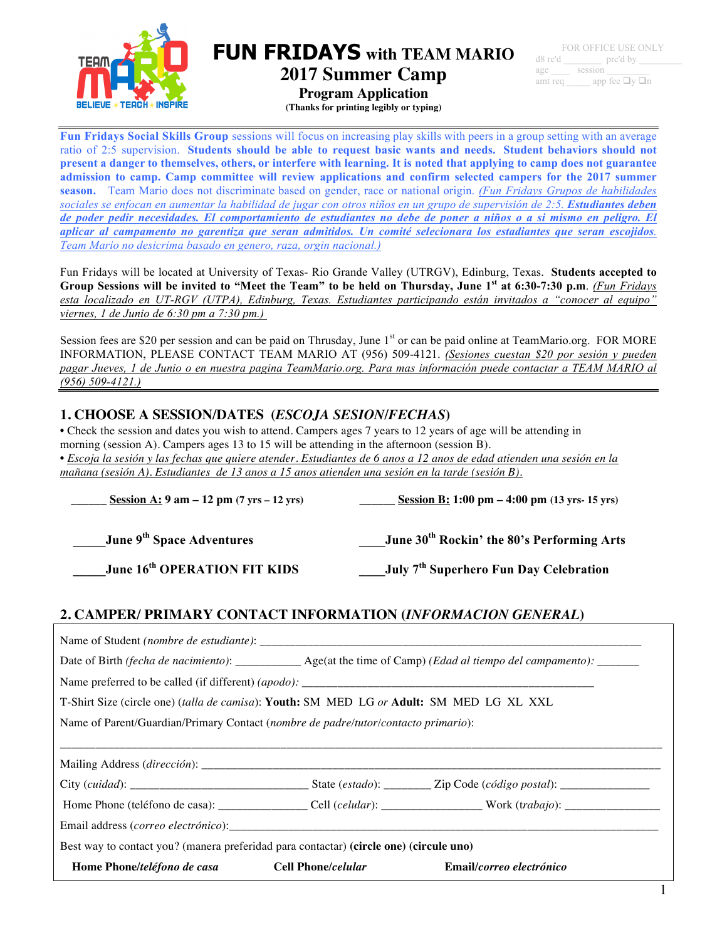

**FUN FRIDAYS with TEAM MARIO 2017 Summer Camp**

**Program Application**

**(Thanks for printing legibly or typing)**

**Fun Fridays Social Skills Group** sessions will focus on increasing play skills with peers in a group setting with an average ratio of 2:5 supervision. **Students should be able to request basic wants and needs. Student behaviors should not present a danger to themselves, others, or interfere with learning. It is noted that applying to camp does not guarantee admission to camp. Camp committee will review applications and confirm selected campers for the 2017 summer season.** Team Mario does not discriminate based on gender, race or national origin. *(Fun Fridays Grupos de habilidades sociales se enfocan en aumentar la habilidad de jugar con otros niños en un grupo de supervisión de 2:5. Estudiantes deben de poder pedir necesidades. El comportamiento de estudiantes no debe de poner a niños o a si mismo en peligro. El aplicar al campamento no garentiza que seran admitidos. Un comité selecionara los estadiantes que seran escojidos. Team Mario no desicrima basado en genero, raza, orgin nacional.)*

Fun Fridays will be located at University of Texas- Rio Grande Valley (UTRGV), Edinburg, Texas. **Students accepted to Group Sessions will be invited to "Meet the Team" to be held on Thursday, June 1st at 6:30-7:30 p.m**. *(Fun Fridays esta localizado en UT-RGV (UTPA), Edinburg, Texas. Estudiantes participando están invitados a "conocer al equipo" viernes, 1 de Junio de 6:30 pm a 7:30 pm.)*

Session fees are \$20 per session and can be paid on Thrusday, June 1<sup>st</sup> or can be paid online at TeamMario.org. FOR MORE INFORMATION, PLEASE CONTACT TEAM MARIO AT (956) 509-4121. *(Sesiones cuestan \$20 por sesión y pueden pagar Jueves, 1 de Junio o en nuestra pagina TeamMario.org. Para mas información puede contactar a TEAM MARIO al (956) 509-4121.)*

# **1. CHOOSE A SESSION/DATES (***ESCOJA SESION/FECHAS***)**

• Check the session and dates you wish to attend. Campers ages 7 years to 12 years of age will be attending in morning (session A). Campers ages 13 to 15 will be attending in the afternoon (session B).

• *Escoja la sesión y las fechas que quiere atender. Estudiantes de 6 anos a 12 anos de edad atienden una sesión en la mañana (sesión A). Estudiantes de 13 anos a 15 anos atienden una sesión en la tarde (sesión B).*

| Session A: $9 \text{ am} - 12 \text{ pm} (7 \text{ yrs} - 12 \text{ yrs})$                                         | Session B: 1:00 pm – 4:00 pm (13 yrs- 15 yrs)                                                                |  |  |  |  |  |
|--------------------------------------------------------------------------------------------------------------------|--------------------------------------------------------------------------------------------------------------|--|--|--|--|--|
| June 9 <sup>th</sup> Space Adventures<br>June 16 <sup>th</sup> OPERATION FIT KIDS                                  | June 30 <sup>th</sup> Rockin' the 80's Performing Arts<br>July 7 <sup>th</sup> Superhero Fun Day Celebration |  |  |  |  |  |
|                                                                                                                    | 2. CAMPER/ PRIMARY CONTACT INFORMATION (INFORMACION GENERAL)                                                 |  |  |  |  |  |
|                                                                                                                    |                                                                                                              |  |  |  |  |  |
| Date of Birth (fecha de nacimiento): ____________ Age(at the time of Camp) (Edad al tiempo del campamento): ______ |                                                                                                              |  |  |  |  |  |
|                                                                                                                    |                                                                                                              |  |  |  |  |  |
| T-Shirt Size (circle one) (talla de camisa): Youth: SM MED LG or Adult: SM MED LG XL XXL                           |                                                                                                              |  |  |  |  |  |
| Name of Parent/Guardian/Primary Contact (nombre de padre/tutor/contacto primario):                                 |                                                                                                              |  |  |  |  |  |
|                                                                                                                    |                                                                                                              |  |  |  |  |  |
|                                                                                                                    |                                                                                                              |  |  |  |  |  |
|                                                                                                                    |                                                                                                              |  |  |  |  |  |
|                                                                                                                    |                                                                                                              |  |  |  |  |  |
| Best way to contact you? (manera preferidad para contactar) (circle one) (circule uno)                             |                                                                                                              |  |  |  |  |  |
| Home Phone/teléfono de casa                                                                                        | <b>Cell Phone/celular</b><br>Email/correo electrónico                                                        |  |  |  |  |  |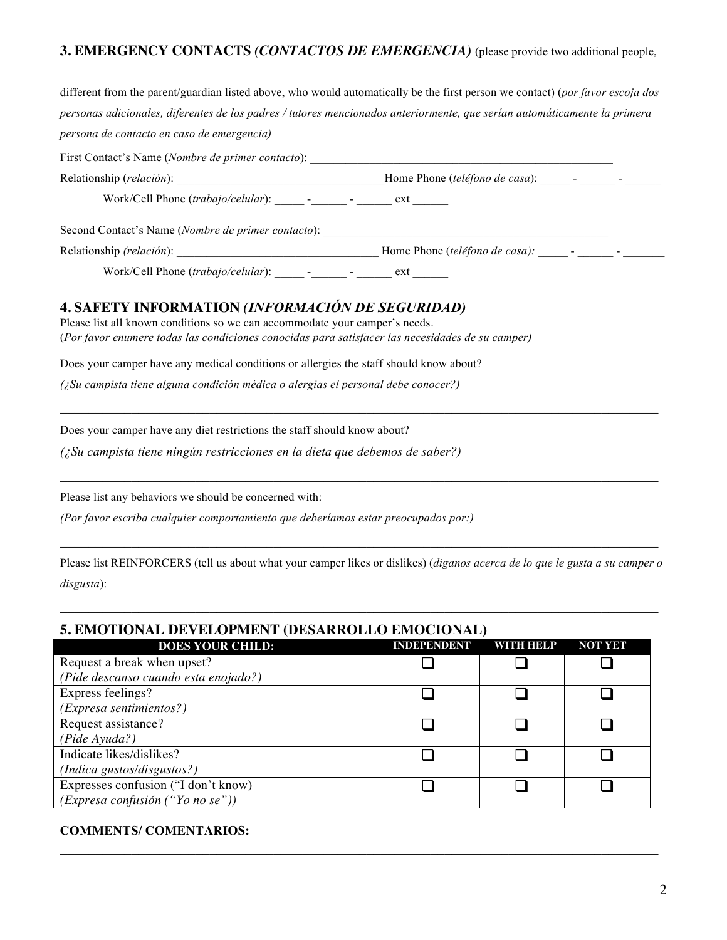# **3. EMERGENCY CONTACTS** *(CONTACTOS DE EMERGENCIA)* (please provide two additional people,

| different from the parent/guardian listed above, who would automatically be the first person we contact) (por favor escoja dos                                                                                                                                                                                                       |  |
|--------------------------------------------------------------------------------------------------------------------------------------------------------------------------------------------------------------------------------------------------------------------------------------------------------------------------------------|--|
| personas adicionales, diferentes de los padres / tutores mencionados anteriormente, que serían automáticamente la primera                                                                                                                                                                                                            |  |
| persona de contacto en caso de emergencia)                                                                                                                                                                                                                                                                                           |  |
| First Contact's Name (Nombre de primer contacto): _______________________________                                                                                                                                                                                                                                                    |  |
|                                                                                                                                                                                                                                                                                                                                      |  |
| Work/Cell Phone (trabajo/celular): _______ ________ - _______ ext _______                                                                                                                                                                                                                                                            |  |
|                                                                                                                                                                                                                                                                                                                                      |  |
|                                                                                                                                                                                                                                                                                                                                      |  |
|                                                                                                                                                                                                                                                                                                                                      |  |
| <b>4. SAFETY INFORMATION (INFORMACIÓN DE SEGURIDAD)</b><br>Please list all known conditions so we can accommodate your camper's needs.<br>(Por favor enumere todas las condiciones conocidas para satisfacer las necesidades de su camper)<br>Does your camper have any medical conditions or allergies the staff should know about? |  |
| $($ Su campista tiene alguna condición médica o alergias el personal debe conocer?)                                                                                                                                                                                                                                                  |  |
| Does your camper have any diet restrictions the staff should know about?<br>$($ Su campista tiene ningún restricciones en la dieta que debemos de saber?)                                                                                                                                                                            |  |
|                                                                                                                                                                                                                                                                                                                                      |  |

Please list any behaviors we should be concerned with:

*(Por favor escriba cualquier comportamiento que deberíamos estar preocupados por:)*

Please list REINFORCERS (tell us about what your camper likes or dislikes) (*diganos acerca de lo que le gusta a su camper o disgusta*):

 $\mathcal{L}_\mathcal{L} = \{ \mathcal{L}_\mathcal{L} = \{ \mathcal{L}_\mathcal{L} = \{ \mathcal{L}_\mathcal{L} = \{ \mathcal{L}_\mathcal{L} = \{ \mathcal{L}_\mathcal{L} = \{ \mathcal{L}_\mathcal{L} = \{ \mathcal{L}_\mathcal{L} = \{ \mathcal{L}_\mathcal{L} = \{ \mathcal{L}_\mathcal{L} = \{ \mathcal{L}_\mathcal{L} = \{ \mathcal{L}_\mathcal{L} = \{ \mathcal{L}_\mathcal{L} = \{ \mathcal{L}_\mathcal{L} = \{ \mathcal{L}_\mathcal{$ 

 $\mathcal{L}_\mathcal{L} = \{ \mathcal{L}_\mathcal{L} = \{ \mathcal{L}_\mathcal{L} = \{ \mathcal{L}_\mathcal{L} = \{ \mathcal{L}_\mathcal{L} = \{ \mathcal{L}_\mathcal{L} = \{ \mathcal{L}_\mathcal{L} = \{ \mathcal{L}_\mathcal{L} = \{ \mathcal{L}_\mathcal{L} = \{ \mathcal{L}_\mathcal{L} = \{ \mathcal{L}_\mathcal{L} = \{ \mathcal{L}_\mathcal{L} = \{ \mathcal{L}_\mathcal{L} = \{ \mathcal{L}_\mathcal{L} = \{ \mathcal{L}_\mathcal{$ 

# **5. EMOTIONAL DEVELOPMENT (DESARROLLO EMOCIONAL)**

| <b>DOES YOUR CHILD:</b>              | <b>INDEPENDENT</b> | WITH HELP | <b>NOT YET</b> |  |
|--------------------------------------|--------------------|-----------|----------------|--|
| Request a break when upset?          |                    |           |                |  |
| (Pide descanso cuando esta enojado?) |                    |           |                |  |
| Express feelings?                    |                    |           |                |  |
| (Expresa sentimientos?)              |                    |           |                |  |
| Request assistance?                  |                    |           |                |  |
| (Pide Ayuda?)                        |                    |           |                |  |
| Indicate likes/dislikes?             |                    |           |                |  |
| (Indica gustos/disgustos?)           |                    |           |                |  |
| Expresses confusion ("I don't know)  |                    |           |                |  |
| (Express a confusion ("You no se"))  |                    |           |                |  |

 $\mathcal{L}_\mathcal{L} = \{ \mathcal{L}_\mathcal{L} = \{ \mathcal{L}_\mathcal{L} = \{ \mathcal{L}_\mathcal{L} = \{ \mathcal{L}_\mathcal{L} = \{ \mathcal{L}_\mathcal{L} = \{ \mathcal{L}_\mathcal{L} = \{ \mathcal{L}_\mathcal{L} = \{ \mathcal{L}_\mathcal{L} = \{ \mathcal{L}_\mathcal{L} = \{ \mathcal{L}_\mathcal{L} = \{ \mathcal{L}_\mathcal{L} = \{ \mathcal{L}_\mathcal{L} = \{ \mathcal{L}_\mathcal{L} = \{ \mathcal{L}_\mathcal{$ 

#### **COMMENTS/ COMENTARIOS:**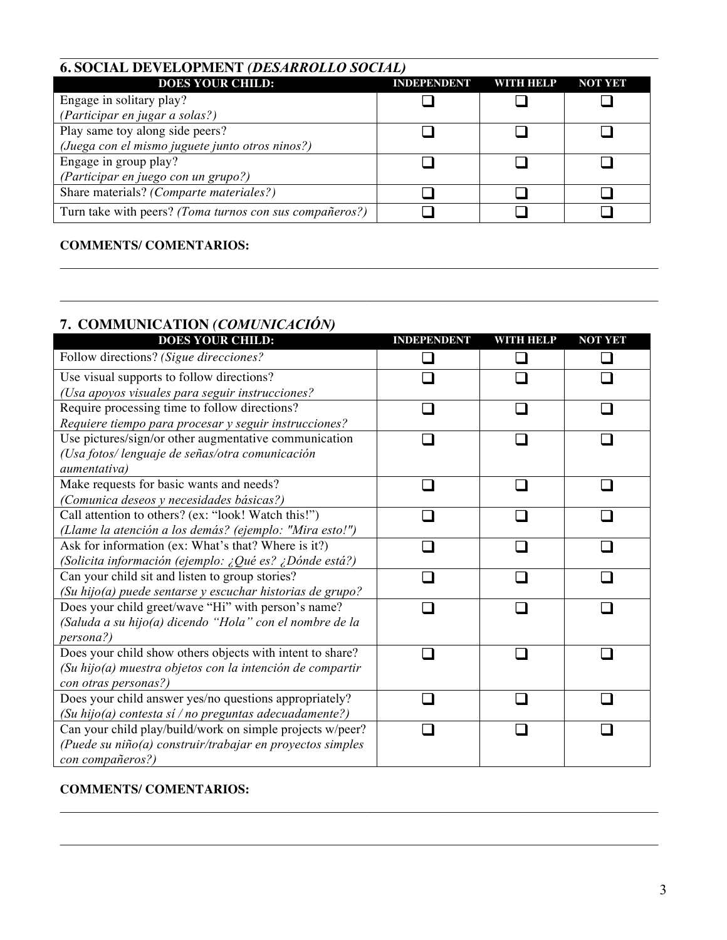# **6. SOCIAL DEVELOPMENT** *(DESARROLLO SOCIAL)*

| <b>DOES YOUR CHILD:</b>                                 | <b>INDEPENDENT</b> | WINTHERP | <b>NOT YET</b> |
|---------------------------------------------------------|--------------------|----------|----------------|
| Engage in solitary play?                                |                    |          |                |
| (Participar en jugar a solas?)                          |                    |          |                |
| Play same toy along side peers?                         |                    |          |                |
| (Juega con el mismo juguete junto otros ninos?)         |                    |          |                |
| Engage in group play?                                   |                    |          |                |
| (Participar en juego con un grupo?)                     |                    |          |                |
| Share materials? (Comparte materiales?)                 |                    |          |                |
| Turn take with peers? (Toma turnos con sus compañeros?) |                    |          |                |

 $\mathcal{L}_\mathcal{L} = \{ \mathcal{L}_\mathcal{L} = \{ \mathcal{L}_\mathcal{L} = \{ \mathcal{L}_\mathcal{L} = \{ \mathcal{L}_\mathcal{L} = \{ \mathcal{L}_\mathcal{L} = \{ \mathcal{L}_\mathcal{L} = \{ \mathcal{L}_\mathcal{L} = \{ \mathcal{L}_\mathcal{L} = \{ \mathcal{L}_\mathcal{L} = \{ \mathcal{L}_\mathcal{L} = \{ \mathcal{L}_\mathcal{L} = \{ \mathcal{L}_\mathcal{L} = \{ \mathcal{L}_\mathcal{L} = \{ \mathcal{L}_\mathcal{$ 

 $\mathcal{L}_\mathcal{L} = \{ \mathcal{L}_\mathcal{L} = \{ \mathcal{L}_\mathcal{L} = \{ \mathcal{L}_\mathcal{L} = \{ \mathcal{L}_\mathcal{L} = \{ \mathcal{L}_\mathcal{L} = \{ \mathcal{L}_\mathcal{L} = \{ \mathcal{L}_\mathcal{L} = \{ \mathcal{L}_\mathcal{L} = \{ \mathcal{L}_\mathcal{L} = \{ \mathcal{L}_\mathcal{L} = \{ \mathcal{L}_\mathcal{L} = \{ \mathcal{L}_\mathcal{L} = \{ \mathcal{L}_\mathcal{L} = \{ \mathcal{L}_\mathcal{$ 

 $\mathcal{L}_\mathcal{L} = \{ \mathcal{L}_\mathcal{L} = \{ \mathcal{L}_\mathcal{L} = \{ \mathcal{L}_\mathcal{L} = \{ \mathcal{L}_\mathcal{L} = \{ \mathcal{L}_\mathcal{L} = \{ \mathcal{L}_\mathcal{L} = \{ \mathcal{L}_\mathcal{L} = \{ \mathcal{L}_\mathcal{L} = \{ \mathcal{L}_\mathcal{L} = \{ \mathcal{L}_\mathcal{L} = \{ \mathcal{L}_\mathcal{L} = \{ \mathcal{L}_\mathcal{L} = \{ \mathcal{L}_\mathcal{L} = \{ \mathcal{L}_\mathcal{$ 

#### **COMMENTS/ COMENTARIOS:**

# **7. COMMUNICATION** *(COMUNICACIÓN)*

| <b>DOES YOUR CHILD:</b>                                   | <b>INDEPENDENT</b> | WITH HELP | <b>NOT YET</b> |
|-----------------------------------------------------------|--------------------|-----------|----------------|
| Follow directions? (Sigue direcciones?                    |                    |           |                |
| Use visual supports to follow directions?                 |                    |           |                |
| (Usa apoyos visuales para seguir instrucciones?           |                    |           |                |
| Require processing time to follow directions?             |                    |           |                |
| Requiere tiempo para procesar y seguir instrucciones?     |                    |           |                |
| Use pictures/sign/or other augmentative communication     |                    |           |                |
| (Usa fotos/ lenguaje de señas/otra comunicación           |                    |           |                |
| aumentativa)                                              |                    |           |                |
| Make requests for basic wants and needs?                  |                    |           |                |
| (Comunica deseos y necesidades básicas?)                  |                    |           |                |
| Call attention to others? (ex: "look! Watch this!")       |                    |           |                |
| (Llame la atención a los demás? (ejemplo: "Mira esto!")   |                    |           |                |
| Ask for information (ex: What's that? Where is it?)       |                    |           |                |
| (Solicita información (ejemplo: ¿Qué es? ¿Dónde está?)    |                    |           |                |
| Can your child sit and listen to group stories?           |                    |           |                |
| (Su hijo(a) puede sentarse y escuchar historias de grupo? |                    |           |                |
| Does your child greet/wave "Hi" with person's name?       |                    |           |                |
| (Saluda a su hijo(a) dicendo "Hola" con el nombre de la   |                    |           |                |
| persona?)                                                 |                    |           |                |
| Does your child show others objects with intent to share? |                    |           |                |
| (Su hijo(a) muestra objetos con la intención de compartir |                    |           |                |
| con otras personas?)                                      |                    |           |                |
| Does your child answer yes/no questions appropriately?    |                    |           |                |
| (Su hijo(a) contesta sí / no preguntas adecuadamente?)    |                    |           |                |
| Can your child play/build/work on simple projects w/peer? |                    |           |                |
| (Puede su niño(a) construir/trabajar en proyectos simples |                    |           |                |
| con compañeros?)                                          |                    |           |                |

 $\mathcal{L}_\mathcal{L} = \{ \mathcal{L}_\mathcal{L} = \{ \mathcal{L}_\mathcal{L} = \{ \mathcal{L}_\mathcal{L} = \{ \mathcal{L}_\mathcal{L} = \{ \mathcal{L}_\mathcal{L} = \{ \mathcal{L}_\mathcal{L} = \{ \mathcal{L}_\mathcal{L} = \{ \mathcal{L}_\mathcal{L} = \{ \mathcal{L}_\mathcal{L} = \{ \mathcal{L}_\mathcal{L} = \{ \mathcal{L}_\mathcal{L} = \{ \mathcal{L}_\mathcal{L} = \{ \mathcal{L}_\mathcal{L} = \{ \mathcal{L}_\mathcal{$ 

 $\mathcal{L}_\mathcal{L} = \{ \mathcal{L}_\mathcal{L} = \{ \mathcal{L}_\mathcal{L} = \{ \mathcal{L}_\mathcal{L} = \{ \mathcal{L}_\mathcal{L} = \{ \mathcal{L}_\mathcal{L} = \{ \mathcal{L}_\mathcal{L} = \{ \mathcal{L}_\mathcal{L} = \{ \mathcal{L}_\mathcal{L} = \{ \mathcal{L}_\mathcal{L} = \{ \mathcal{L}_\mathcal{L} = \{ \mathcal{L}_\mathcal{L} = \{ \mathcal{L}_\mathcal{L} = \{ \mathcal{L}_\mathcal{L} = \{ \mathcal{L}_\mathcal{$ 

#### **COMMENTS/ COMENTARIOS:**